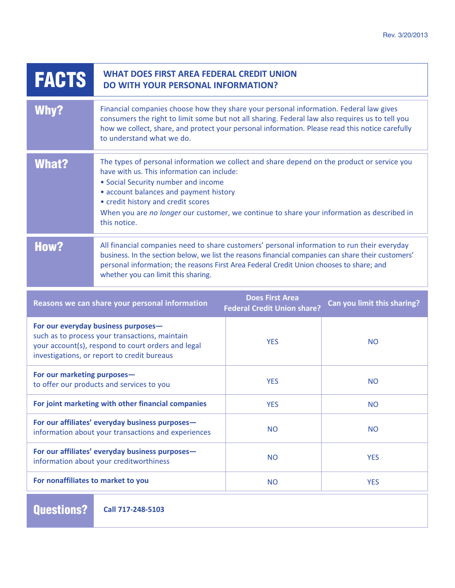| <b>FACTS</b>                                                                                                                                                                               | <b>WHAT DOES FIRST AREA FEDERAL CREDIT UNION</b><br><b>DO WITH YOUR PERSONAL INFORMATION?</b>                                                                                                                                                                                                                                                                                   |                                                              |                             |
|--------------------------------------------------------------------------------------------------------------------------------------------------------------------------------------------|---------------------------------------------------------------------------------------------------------------------------------------------------------------------------------------------------------------------------------------------------------------------------------------------------------------------------------------------------------------------------------|--------------------------------------------------------------|-----------------------------|
| Why?                                                                                                                                                                                       | Financial companies choose how they share your personal information. Federal law gives<br>consumers the right to limit some but not all sharing. Federal law also requires us to tell you<br>how we collect, share, and protect your personal information. Please read this notice carefully<br>to understand what we do.                                                       |                                                              |                             |
| <b>What?</b>                                                                                                                                                                               | The types of personal information we collect and share depend on the product or service you<br>have with us. This information can include:<br>• Social Security number and income<br>• account balances and payment history<br>• credit history and credit scores<br>When you are no longer our customer, we continue to share your information as described in<br>this notice. |                                                              |                             |
| <b>How?</b>                                                                                                                                                                                | All financial companies need to share customers' personal information to run their everyday<br>business. In the section below, we list the reasons financial companies can share their customers'<br>personal information; the reasons First Area Federal Credit Union chooses to share; and<br>whether you can limit this sharing.                                             |                                                              |                             |
| Reasons we can share your personal information                                                                                                                                             |                                                                                                                                                                                                                                                                                                                                                                                 | <b>Does First Area</b><br><b>Federal Credit Union share?</b> | Can you limit this sharing? |
| For our everyday business purposes-<br>such as to process your transactions, maintain<br>your account(s), respond to court orders and legal<br>investigations, or report to credit bureaus |                                                                                                                                                                                                                                                                                                                                                                                 | <b>YES</b>                                                   | <b>NO</b>                   |
| For our marketing purposes-<br>to offer our products and services to you                                                                                                                   |                                                                                                                                                                                                                                                                                                                                                                                 | <b>YES</b>                                                   | <b>NO</b>                   |
| For joint marketing with other financial companies                                                                                                                                         |                                                                                                                                                                                                                                                                                                                                                                                 | <b>YES</b>                                                   | <b>NO</b>                   |
| For our affiliates' everyday business purposes-<br>information about your transactions and experiences                                                                                     |                                                                                                                                                                                                                                                                                                                                                                                 | <b>NO</b>                                                    | <b>NO</b>                   |
| For our affiliates' everyday business purposes-<br>information about your creditworthiness                                                                                                 |                                                                                                                                                                                                                                                                                                                                                                                 | <b>NO</b>                                                    | <b>YES</b>                  |
| For nonaffiliates to market to you                                                                                                                                                         |                                                                                                                                                                                                                                                                                                                                                                                 | <b>NO</b>                                                    | <b>YES</b>                  |

**Questions? Call 717-248-5103**